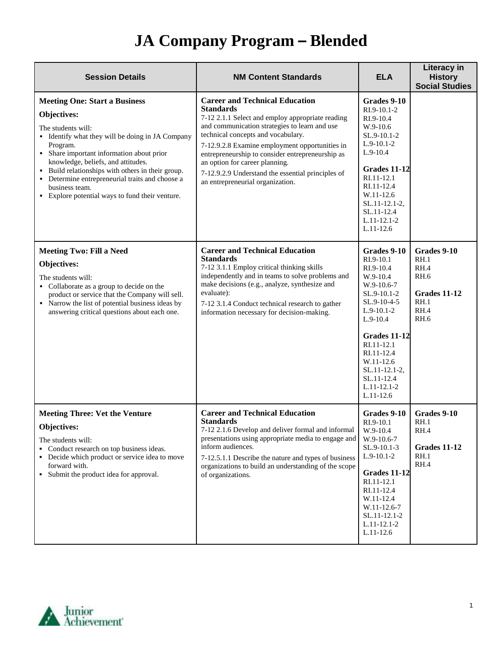| <b>Session Details</b>                                                                                                                                                                                                                                                                                                                                                                                           | <b>NM Content Standards</b>                                                                                                                                                                                                                                                                                                                                                                                                           | <b>ELA</b>                                                                                                                                                                                                                                        | Literacy in<br><b>History</b><br><b>Social Studies</b>                                           |
|------------------------------------------------------------------------------------------------------------------------------------------------------------------------------------------------------------------------------------------------------------------------------------------------------------------------------------------------------------------------------------------------------------------|---------------------------------------------------------------------------------------------------------------------------------------------------------------------------------------------------------------------------------------------------------------------------------------------------------------------------------------------------------------------------------------------------------------------------------------|---------------------------------------------------------------------------------------------------------------------------------------------------------------------------------------------------------------------------------------------------|--------------------------------------------------------------------------------------------------|
| <b>Meeting One: Start a Business</b><br><b>Objectives:</b><br>The students will:<br>• Identify what they will be doing in JA Company<br>Program.<br>• Share important information about prior<br>knowledge, beliefs, and attitudes.<br>• Build relationships with others in their group.<br>• Determine entrepreneurial traits and choose a<br>business team.<br>• Explore potential ways to fund their venture. | <b>Career and Technical Education</b><br><b>Standards</b><br>7-12 2.1.1 Select and employ appropriate reading<br>and communication strategies to learn and use<br>technical concepts and vocabulary.<br>7-12.9.2.8 Examine employment opportunities in<br>entrepreneurship to consider entrepreneurship as<br>an option for career planning.<br>7-12.9.2.9 Understand the essential principles of<br>an entrepreneurial organization. | Grades 9-10<br>RI.9-10.1-2<br>RI.9-10.4<br>W.9-10.6<br>SL.9-10.1-2<br>$L.9-10.1-2$<br>$L.9-10.4$<br>Grades 11-12<br>RI.11-12.1<br>RI.11-12.4<br>W.11-12.6<br>$SL.11-12.1-2$ ,<br>SL.11-12.4<br>$L.11-12.1-2$<br>$L.11-12.6$                       |                                                                                                  |
| <b>Meeting Two: Fill a Need</b><br>Objectives:<br>The students will:<br>• Collaborate as a group to decide on the<br>product or service that the Company will sell.<br>• Narrow the list of potential business ideas by<br>answering critical questions about each one.                                                                                                                                          | <b>Career and Technical Education</b><br><b>Standards</b><br>7-12 3.1.1 Employ critical thinking skills<br>independently and in teams to solve problems and<br>make decisions (e.g., analyze, synthesize and<br>evaluate):<br>7-12 3.1.4 Conduct technical research to gather<br>information necessary for decision-making.                                                                                                           | Grades 9-10<br>RI.9-10.1<br>RI.9-10.4<br>W.9-10.4<br>W.9-10.6-7<br>SL.9-10.1-2<br>SL.9-10-4-5<br>$L.9-10.1-2$<br>$L.9-10.4$<br>Grades 11-12<br>RI.11-12.1<br>RI.11-12.4<br>W.11-12.6<br>SL.11-12.1-2,<br>SL.11-12.4<br>L.11-12.1-2<br>$L.11-12.6$ | Grades 9-10<br>RH.1<br>RH.4<br><b>RH.6</b><br><b>Grades 11-12</b><br>RH.1<br>RH.4<br><b>RH.6</b> |
| <b>Meeting Three: Vet the Venture</b><br><b>Objectives:</b><br>The students will:<br>• Conduct research on top business ideas.<br>• Decide which product or service idea to move<br>forward with.<br>• Submit the product idea for approval.                                                                                                                                                                     | <b>Career and Technical Education</b><br>Standards<br>7-12 2.1.6 Develop and deliver formal and informal<br>presentations using appropriate media to engage and<br>inform audiences.<br>7-12.5.1.1 Describe the nature and types of business<br>organizations to build an understanding of the scope<br>of organizations.                                                                                                             | Grades 9-10<br>RI.9-10.1<br>W.9-10.4<br>W.9-10.6-7<br>SL.9-10.1-3<br>$L.9-10.1-2$<br><b>Grades 11-12</b><br>RI.11-12.1<br>RI.11-12.4<br>W.11-12.4<br>W.11-12.6-7<br>SL.11-12.1-2<br>$L.11 - 12.1 - 2$<br>$L.11-12.6$                              | Grades 9-10<br>RH.1<br>RH.4<br><b>Grades 11-12</b><br>RH.1<br>RH.4                               |

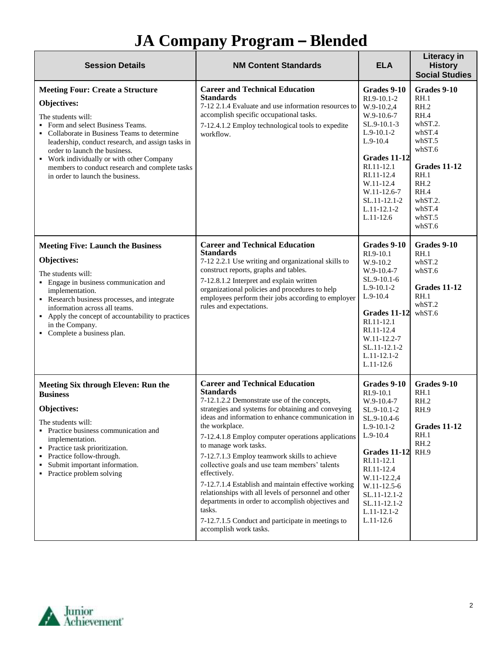| <b>Session Details</b>                                                                                                                                                                                                                                                                                                                                                                   | <b>NM Content Standards</b>                                                                                                                                                                                                                                                                                                                                                                                                                                                                                                                                                                                                                                                                         | <b>ELA</b>                                                                                                                                                                                                                                            | <b>Literacy in</b><br><b>History</b><br><b>Social Studies</b>                                                                                                        |
|------------------------------------------------------------------------------------------------------------------------------------------------------------------------------------------------------------------------------------------------------------------------------------------------------------------------------------------------------------------------------------------|-----------------------------------------------------------------------------------------------------------------------------------------------------------------------------------------------------------------------------------------------------------------------------------------------------------------------------------------------------------------------------------------------------------------------------------------------------------------------------------------------------------------------------------------------------------------------------------------------------------------------------------------------------------------------------------------------------|-------------------------------------------------------------------------------------------------------------------------------------------------------------------------------------------------------------------------------------------------------|----------------------------------------------------------------------------------------------------------------------------------------------------------------------|
| <b>Meeting Four: Create a Structure</b><br>Objectives:<br>The students will:<br>Form and select Business Teams.<br>• Collaborate in Business Teams to determine<br>leadership, conduct research, and assign tasks in<br>order to launch the business.<br>• Work individually or with other Company<br>members to conduct research and complete tasks<br>in order to launch the business. | <b>Career and Technical Education</b><br><b>Standards</b><br>7-12 2.1.4 Evaluate and use information resources to<br>accomplish specific occupational tasks.<br>7-12.4.1.2 Employ technological tools to expedite<br>workflow.                                                                                                                                                                                                                                                                                                                                                                                                                                                                      | Grades 9-10<br>RI.9-10.1-2<br>W.9-10.2,4<br>W.9-10.6-7<br>SL.9-10.1-3<br>$L.9-10.1-2$<br>$L.9-10.4$<br>Grades 11-12<br>RI.11-12.1<br>RI.11-12.4<br>W.11-12.4<br>W.11-12.6-7<br>SL.11-12.1-2<br>$L.11 - 12.1 - 2$<br>$L.11-12.6$                       | Grades 9-10<br>RH.1<br>RH.2<br>RH.4<br>whST.2.<br>whST.4<br>whST.5<br>whST.6<br><b>Grades 11-12</b><br>RH.1<br>RH.2<br>RH.4<br>whST.2.<br>whST.4<br>whST.5<br>whST.6 |
| <b>Meeting Five: Launch the Business</b><br>Objectives:<br>The students will:<br>• Engage in business communication and<br>implementation.<br>Research business processes, and integrate<br>information across all teams.<br>• Apply the concept of accountability to practices<br>in the Company.<br>• Complete a business plan.                                                        | <b>Career and Technical Education</b><br><b>Standards</b><br>7-12 2.2.1 Use writing and organizational skills to<br>construct reports, graphs and tables.<br>7-12.8.1.2 Interpret and explain written<br>organizational policies and procedures to help<br>employees perform their jobs according to employer<br>rules and expectations.                                                                                                                                                                                                                                                                                                                                                            | Grades 9-10<br>RI.9-10.1<br>W.9-10.2<br>$W.9-10.4-7$<br>SL.9-10.1-6<br>$L.9-10.1-2$<br>$L.9-10.4$<br>Grades 11-12<br>RI.11-12.1<br>RI.11-12.4<br>W.11-12.2-7<br>SL.11-12.1-2<br>$L.11-12.1-2$<br>$L.11-12.6$                                          | Grades 9-10<br>RH.1<br>whST.2<br>whST.6<br><b>Grades 11-12</b><br>RH.1<br>whST.2<br>whST.6                                                                           |
| <b>Meeting Six through Eleven: Run the</b><br><b>Business</b><br><b>Objectives:</b><br>The students will:<br>• Practice business communication and<br>implementation.<br>• Practice task prioritization.<br>• Practice follow-through.<br>Submit important information.<br>• Practice problem solving                                                                                    | <b>Career and Technical Education</b><br><b>Standards</b><br>7-12.1.2.2 Demonstrate use of the concepts,<br>strategies and systems for obtaining and conveying<br>ideas and information to enhance communication in<br>the workplace.<br>7-12.4.1.8 Employ computer operations applications<br>to manage work tasks.<br>7-12.7.1.3 Employ teamwork skills to achieve<br>collective goals and use team members' talents<br>effectively.<br>7-12.7.1.4 Establish and maintain effective working<br>relationships with all levels of personnel and other<br>departments in order to accomplish objectives and<br>tasks.<br>7-12.7.1.5 Conduct and participate in meetings to<br>accomplish work tasks. | Grades 9-10<br>RI.9-10.1<br>$W.9-10.4-7$<br>SL.9-10.1-2<br>SL.9-10.4-6<br>$L.9-10.1-2$<br>$L.9-10.4$<br><b>Grades 11-12</b><br>RI.11-12.1<br>RI.11-12.4<br>W.11-12.2,4<br>W.11-12.5-6<br>SL.11-12.1-2<br>SL.11-12.1-2<br>$L.11-12.1-2$<br>$L.11-12.6$ | Grades 9-10<br>RH.1<br>RH.2<br>RH.9<br><b>Grades 11-12</b><br>RH.1<br>RH.2<br>RH.9                                                                                   |

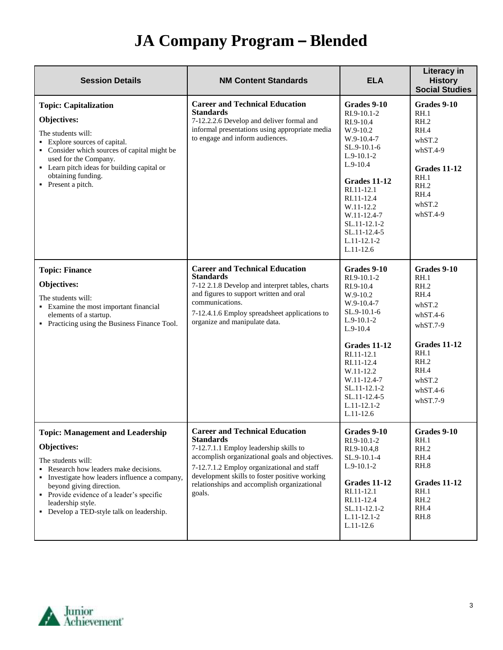| <b>Session Details</b>                                                                                                                                                                                                                                                                                                   | <b>NM Content Standards</b>                                                                                                                                                                                                                                                                                    | <b>ELA</b>                                                                                                                                                                                                                                                   | Literacy in<br><b>History</b><br><b>Social Studies</b>                                                                                                  |
|--------------------------------------------------------------------------------------------------------------------------------------------------------------------------------------------------------------------------------------------------------------------------------------------------------------------------|----------------------------------------------------------------------------------------------------------------------------------------------------------------------------------------------------------------------------------------------------------------------------------------------------------------|--------------------------------------------------------------------------------------------------------------------------------------------------------------------------------------------------------------------------------------------------------------|---------------------------------------------------------------------------------------------------------------------------------------------------------|
| <b>Topic: Capitalization</b><br>Objectives:<br>The students will:<br>• Explore sources of capital.<br>• Consider which sources of capital might be<br>used for the Company.<br>• Learn pitch ideas for building capital or<br>obtaining funding.<br>• Present a pitch.                                                   | <b>Career and Technical Education</b><br><b>Standards</b><br>7-12.2.2.6 Develop and deliver formal and<br>informal presentations using appropriate media<br>to engage and inform audiences.                                                                                                                    | Grades 9-10<br>RI.9-10.1-2<br>RI.9-10.4<br>W.9-10.2<br>W.9-10.4-7<br>$SL.9-10.1-6$<br>$L.9-10.1-2$<br>$L.9-10.4$<br>Grades 11-12<br>RI.11-12.1<br>RI.11-12.4<br>W.11-12.2<br>W.11-12.4-7<br>SL.11-12.1-2<br>SL.11-12.4-5<br>$L.11-12.1-2$<br>$L.11-12.6$     | Grades 9-10<br>RH.1<br>RH.2<br>RH.4<br>whST.2<br>$whST.4-9$<br><b>Grades 11-12</b><br>RH.1<br>RH.2<br>RH.4<br>whST.2<br>$whST.4-9$                      |
| <b>Topic: Finance</b><br>Objectives:<br>The students will:<br>• Examine the most important financial<br>elements of a startup.<br>• Practicing using the Business Finance Tool.                                                                                                                                          | <b>Career and Technical Education</b><br><b>Standards</b><br>7-12 2.1.8 Develop and interpret tables, charts<br>and figures to support written and oral<br>communications.<br>7-12.4.1.6 Employ spreadsheet applications to<br>organize and manipulate data.                                                   | Grades 9-10<br>RI.9-10.1-2<br>RI.9-10.4<br>W.9-10.2<br>$W.9-10.4-7$<br>SL.9-10.1-6<br>$L.9-10.1-2$<br>$L.9-10.4$<br>Grades 11-12<br>RI.11-12.1<br>RI.11-12.4<br>W.11-12.2<br>W.11-12.4-7<br>SL.11-12.1-2<br>SL.11-12.4-5<br>$L.11 - 12.1 - 2$<br>$L.11-12.6$ | Grades 9-10<br>RH.1<br>RH.2<br>RH.4<br>whST.2<br>$whST.4-6$<br>$whST.7-9$<br>Grades 11-12<br>RH.1<br>RH.2<br>RH.4<br>whST.2<br>$whST.4-6$<br>$whST.7-9$ |
| <b>Topic: Management and Leadership</b><br><b>Objectives:</b><br>The students will:<br>Research how leaders make decisions.<br>• Investigate how leaders influence a company,<br>beyond giving direction.<br>• Provide evidence of a leader's specific<br>leadership style.<br>• Develop a TED-style talk on leadership. | <b>Career and Technical Education</b><br><b>Standards</b><br>7-12.7.1.1 Employ leadership skills to<br>accomplish organizational goals and objectives.<br>7-12.7.1.2 Employ organizational and staff<br>development skills to foster positive working<br>relationships and accomplish organizational<br>goals. | Grades 9-10<br>RI.9-10.1-2<br>RI.9-10.4,8<br>SL.9-10.1-4<br>$L.9-10.1-2$<br><b>Grades 11-12</b><br>RI.11-12.1<br>RI.11-12.4<br>SL.11-12.1-2<br>$L.11 - 12.1 - 2$<br>L.11-12.6                                                                                | Grades 9-10<br>RH.1<br>RH.2<br>RH.4<br>RH.8<br>Grades 11-12<br>RH.1<br>RH.2<br>RH.4<br>RH.8                                                             |

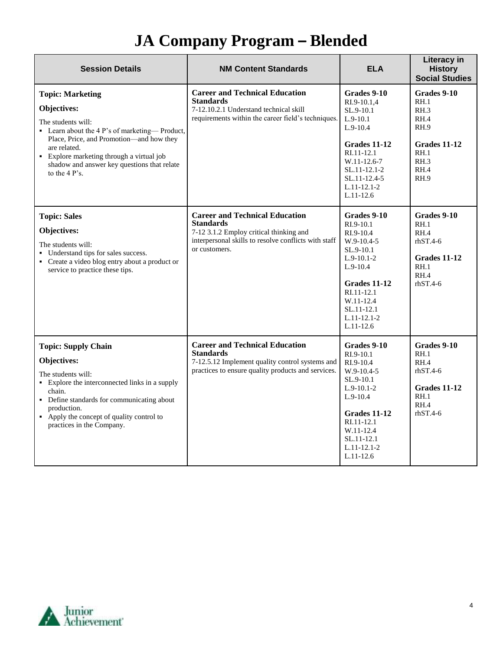| <b>Session Details</b>                                                                                                                                                                                                                                                                   | <b>NM Content Standards</b>                                                                                                                                                   | <b>ELA</b>                                                                                                                                                                                  | <b>Literacy in</b><br><b>History</b><br><b>Social Studies</b>                                      |
|------------------------------------------------------------------------------------------------------------------------------------------------------------------------------------------------------------------------------------------------------------------------------------------|-------------------------------------------------------------------------------------------------------------------------------------------------------------------------------|---------------------------------------------------------------------------------------------------------------------------------------------------------------------------------------------|----------------------------------------------------------------------------------------------------|
| <b>Topic: Marketing</b><br>Objectives:<br>The students will:<br>• Learn about the 4 P's of marketing—Product,<br>Place, Price, and Promotion-and how they<br>are related.<br>• Explore marketing through a virtual job<br>shadow and answer key questions that relate<br>to the $4P$ 's. | <b>Career and Technical Education</b><br><b>Standards</b><br>7-12.10.2.1 Understand technical skill<br>requirements within the career field's techniques.                     | Grades 9-10<br>RI.9-10.1,4<br>SL.9-10.1<br>$L.9-10.1$<br>$L.9-10.4$<br>Grades 11-12<br>RI.11-12.1<br>W.11-12.6-7<br>SL.11-12.1-2<br>$SL.11-12.4-5$<br>$L.11-12.1-2$<br>$L.11-12.6$          | Grades 9-10<br>RH.1<br>RH.3<br>RH.4<br>RH.9<br>Grades 11-12<br>RH.1<br>RH.3<br>RH.4<br><b>RH.9</b> |
| <b>Topic: Sales</b><br>Objectives:<br>The students will:<br>• Understand tips for sales success.<br>• Create a video blog entry about a product or<br>service to practice these tips.                                                                                                    | <b>Career and Technical Education</b><br><b>Standards</b><br>7-12 3.1.2 Employ critical thinking and<br>interpersonal skills to resolve conflicts with staff<br>or customers. | Grades 9-10<br>$RI.9-10.1$<br>RI.9-10.4<br>W.9-10.4-5<br>SL.9-10.1<br>$L.9-10.1-2$<br>$L.9-10.4$<br>Grades 11-12<br>RI.11-12.1<br>W.11-12.4<br>SL.11-12.1<br>$L.11-12.1-2$<br>$L.11-12.6$   | Grades 9-10<br>RH.1<br>RH.4<br>$r$ hST.4-6<br>Grades 11-12<br>RH.1<br>RH.4<br>$rhST.4-6$           |
| <b>Topic: Supply Chain</b><br>Objectives:<br>The students will:<br>• Explore the interconnected links in a supply<br>chain.<br>• Define standards for communicating about<br>production.<br>• Apply the concept of quality control to<br>practices in the Company.                       | <b>Career and Technical Education</b><br><b>Standards</b><br>7-12.5.12 Implement quality control systems and<br>practices to ensure quality products and services.            | Grades 9-10<br>RI.9-10.1<br>RI.9-10.4<br>$W.9-10.4-5$<br>$SL.9-10.1$<br>$L.9-10.1-2$<br>$L.9-10.4$<br>Grades 11-12<br>RI.11-12.1<br>W.11-12.4<br>SL.11-12.1<br>$L.11-12.1-2$<br>$L.11-12.6$ | Grades 9-10<br>RH.1<br>RH.4<br>$rhST.4-6$<br>Grades 11-12<br>RH.1<br>RH.4<br>$rhST.4-6$            |